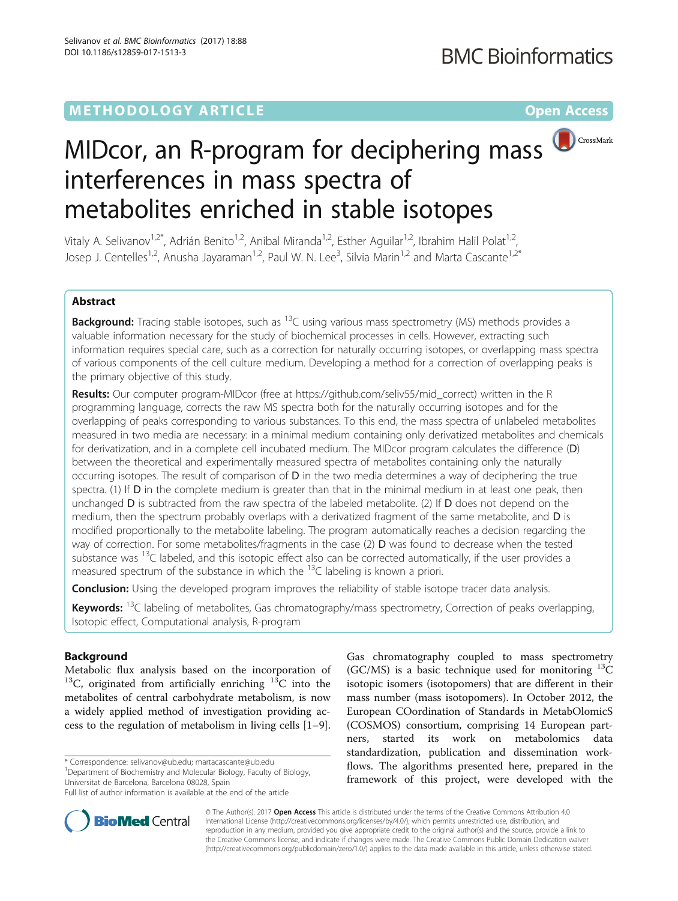# **METHODOLOGY ARTICLE CONSUMING A RESERVE AND LOGISTIC AND LOGISTIC ACCESS**



# MIDcor, an R-program for deciphering mass interferences in mass spectra of metabolites enriched in stable isotopes

Vitaly A. Selivanov<sup>1,2\*</sup>, Adrián Benito<sup>1,2</sup>, Anibal Miranda<sup>1,2</sup>, Esther Aguilar<sup>1,2</sup>, Ibrahim Halil Polat<sup>1,2</sup>, Josep J. Centelles<sup>1,2</sup>, Anusha Jayaraman<sup>1,2</sup>, Paul W. N. Lee<sup>3</sup>, Silvia Marin<sup>1,2</sup> and Marta Cascante<sup>1,2\*</sup>

# Abstract

Background: Tracing stable isotopes, such as <sup>13</sup>C using various mass spectrometry (MS) methods provides a valuable information necessary for the study of biochemical processes in cells. However, extracting such information requires special care, such as a correction for naturally occurring isotopes, or overlapping mass spectra of various components of the cell culture medium. Developing a method for a correction of overlapping peaks is the primary objective of this study.

Results: Our computer program-MIDcor (free at [https://github.com/seliv55/mid\\_correct\) written](https://github.com/seliv55/mid_correct)-written) in the R programming language, corrects the raw MS spectra both for the naturally occurring isotopes and for the overlapping of peaks corresponding to various substances. To this end, the mass spectra of unlabeled metabolites measured in two media are necessary: in a minimal medium containing only derivatized metabolites and chemicals for derivatization, and in a complete cell incubated medium. The MIDcor program calculates the difference (D) between the theoretical and experimentally measured spectra of metabolites containing only the naturally occurring isotopes. The result of comparison of D in the two media determines a way of deciphering the true spectra. (1) If D in the complete medium is greater than that in the minimal medium in at least one peak, then unchanged **D** is subtracted from the raw spectra of the labeled metabolite. (2) If **D** does not depend on the medium, then the spectrum probably overlaps with a derivatized fragment of the same metabolite, and D is modified proportionally to the metabolite labeling. The program automatically reaches a decision regarding the way of correction. For some metabolites/fragments in the case (2) D was found to decrease when the tested substance was  $13C$  labeled, and this isotopic effect also can be corrected automatically, if the user provides a measured spectrum of the substance in which the  $^{13}$ C labeling is known a priori.

**Conclusion:** Using the developed program improves the reliability of stable isotope tracer data analysis.

Keywords: <sup>13</sup>C labeling of metabolites, Gas chromatography/mass spectrometry, Correction of peaks overlapping, Isotopic effect, Computational analysis, R-program

# Background

Metabolic flux analysis based on the incorporation of  $13C$ , originated from artificially enriching  $13C$  into the metabolites of central carbohydrate metabolism, is now a widely applied method of investigation providing access to the regulation of metabolism in living cells [\[1](#page-8-0)–[9](#page-8-0)].

\* Correspondence: [selivanov@ub.edu](mailto:selivanov@ub.edu); [martacascante@ub.edu](mailto:martacascante@ub.edu) <sup>1</sup>

Department of Biochemistry and Molecular Biology, Faculty of Biology,

Universitat de Barcelona, Barcelona 08028, Spain

Full list of author information is available at the end of the article





© The Author(s). 2017 Open Access This article is distributed under the terms of the Creative Commons Attribution 4.0 International License [\(http://creativecommons.org/licenses/by/4.0/](http://creativecommons.org/licenses/by/4.0/)), which permits unrestricted use, distribution, and reproduction in any medium, provided you give appropriate credit to the original author(s) and the source, provide a link to the Creative Commons license, and indicate if changes were made. The Creative Commons Public Domain Dedication waiver [\(http://creativecommons.org/publicdomain/zero/1.0/](http://creativecommons.org/publicdomain/zero/1.0/)) applies to the data made available in this article, unless otherwise stated.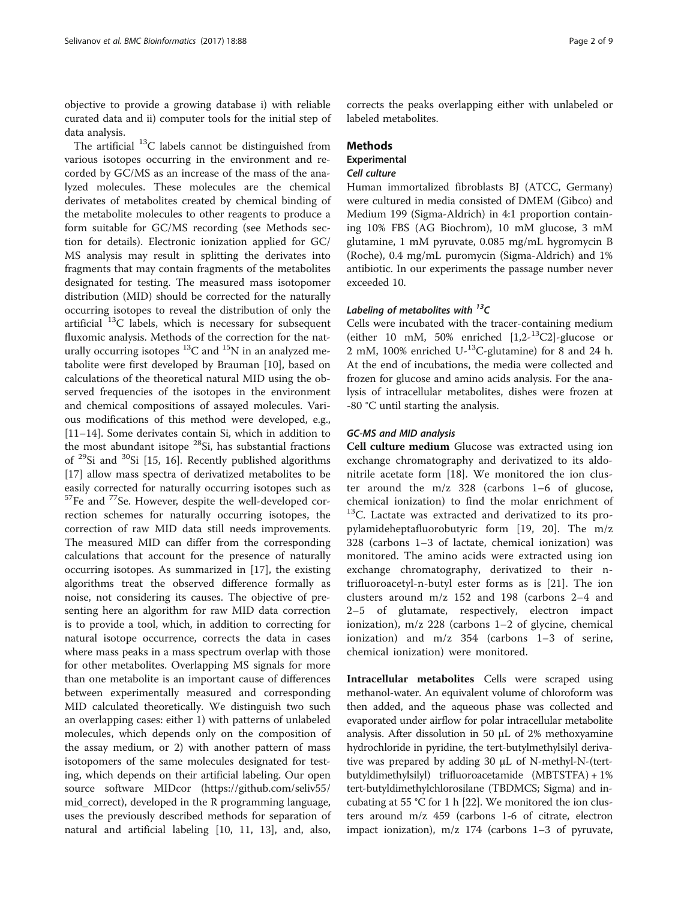objective to provide a growing database i) with reliable curated data and ii) computer tools for the initial step of data analysis.

The artificial  $^{13}$ C labels cannot be distinguished from various isotopes occurring in the environment and recorded by GC/MS as an increase of the mass of the analyzed molecules. These molecules are the chemical derivates of metabolites created by chemical binding of the metabolite molecules to other reagents to produce a form suitable for GC/MS recording (see Methods section for details). Electronic ionization applied for GC/ MS analysis may result in splitting the derivates into fragments that may contain fragments of the metabolites designated for testing. The measured mass isotopomer distribution (MID) should be corrected for the naturally occurring isotopes to reveal the distribution of only the artificial 13C labels, which is necessary for subsequent fluxomic analysis. Methods of the correction for the naturally occurring isotopes  ${}^{13}C$  and  ${}^{15}N$  in an analyzed metabolite were first developed by Brauman [[10\]](#page-8-0), based on calculations of the theoretical natural MID using the observed frequencies of the isotopes in the environment and chemical compositions of assayed molecules. Various modifications of this method were developed, e.g., [[11](#page-8-0)–[14](#page-8-0)]. Some derivates contain Si, which in addition to the most abundant isitope  $28$ Si, has substantial fractions of  $^{29}$ Si and  $^{30}$ Si [\[15, 16](#page-8-0)]. Recently published algorithms [[17\]](#page-8-0) allow mass spectra of derivatized metabolites to be easily corrected for naturally occurring isotopes such as  $57$ Fe and  $77$ Se. However, despite the well-developed correction schemes for naturally occurring isotopes, the correction of raw MID data still needs improvements. The measured MID can differ from the corresponding calculations that account for the presence of naturally occurring isotopes. As summarized in [\[17\]](#page-8-0), the existing algorithms treat the observed difference formally as noise, not considering its causes. The objective of presenting here an algorithm for raw MID data correction is to provide a tool, which, in addition to correcting for natural isotope occurrence, corrects the data in cases where mass peaks in a mass spectrum overlap with those for other metabolites. Overlapping MS signals for more than one metabolite is an important cause of differences between experimentally measured and corresponding MID calculated theoretically. We distinguish two such an overlapping cases: either 1) with patterns of unlabeled molecules, which depends only on the composition of the assay medium, or 2) with another pattern of mass isotopomers of the same molecules designated for testing, which depends on their artificial labeling. Our open source software MIDcor ([https://github.com/seliv55/](https://github.com/seliv55/mid_correct) [mid\\_correct](https://github.com/seliv55/mid_correct)), developed in the R programming language, uses the previously described methods for separation of natural and artificial labeling [\[10](#page-8-0), [11](#page-8-0), [13](#page-8-0)], and, also,

corrects the peaks overlapping either with unlabeled or labeled metabolites.

### **Methods**

# **Experimental**

# Cell culture

Human immortalized fibroblasts BJ (ATCC, Germany) were cultured in media consisted of DMEM (Gibco) and Medium 199 (Sigma-Aldrich) in 4:1 proportion containing 10% FBS (AG Biochrom), 10 mM glucose, 3 mM glutamine, 1 mM pyruvate, 0.085 mg/mL hygromycin B (Roche), 0.4 mg/mL puromycin (Sigma-Aldrich) and 1% antibiotic. In our experiments the passage number never exceeded 10.

# Labeling of metabolites with  $^{13}$ C

Cells were incubated with the tracer-containing medium (either 10 mM, 50% enriched  $[1,2^{-13}C2]$ -glucose or 2 mM, 100% enriched U- $^{13}$ C-glutamine) for 8 and 24 h. At the end of incubations, the media were collected and frozen for glucose and amino acids analysis. For the analysis of intracellular metabolites, dishes were frozen at -80 °C until starting the analysis.

#### GC-MS and MID analysis

Cell culture medium Glucose was extracted using ion exchange chromatography and derivatized to its aldonitrile acetate form [[18\]](#page-8-0). We monitored the ion cluster around the m/z 328 (carbons 1–6 of glucose, chemical ionization) to find the molar enrichment of <sup>13</sup>C. Lactate was extracted and derivatized to its propylamideheptafluorobutyric form [\[19](#page-8-0), [20](#page-8-0)]. The m/z 328 (carbons 1–3 of lactate, chemical ionization) was monitored. The amino acids were extracted using ion exchange chromatography, derivatized to their ntrifluoroacetyl-n-butyl ester forms as is [[21\]](#page-8-0). The ion clusters around m/z 152 and 198 (carbons 2–4 and 2–5 of glutamate, respectively, electron impact ionization), m/z 228 (carbons 1–2 of glycine, chemical ionization) and m/z 354 (carbons 1–3 of serine, chemical ionization) were monitored.

Intracellular metabolites Cells were scraped using methanol-water. An equivalent volume of chloroform was then added, and the aqueous phase was collected and evaporated under airflow for polar intracellular metabolite analysis. After dissolution in 50 μL of 2% methoxyamine hydrochloride in pyridine, the tert-butylmethylsilyl derivative was prepared by adding 30 μL of N-methyl-N-(tertbutyldimethylsilyl) trifluoroacetamide (MBTSTFA) + 1% tert-butyldimethylchlorosilane (TBDMCS; Sigma) and incubating at 55 °C for 1 h [\[22\]](#page-8-0). We monitored the ion clusters around m/z 459 (carbons 1-6 of citrate, electron impact ionization), m/z 174 (carbons 1–3 of pyruvate,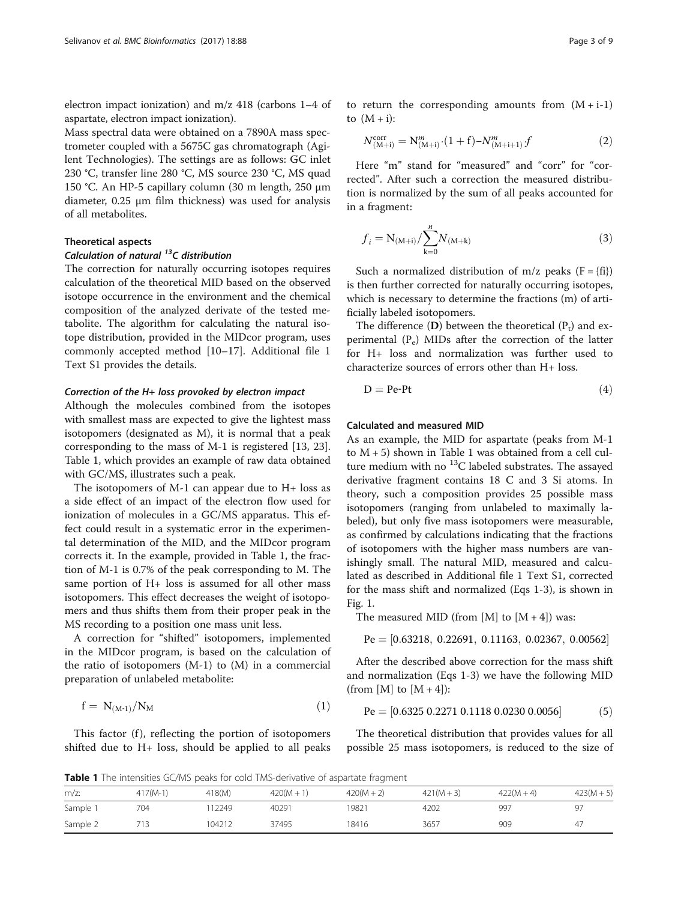<span id="page-2-0"></span>electron impact ionization) and m/z 418 (carbons 1–4 of aspartate, electron impact ionization).

Mass spectral data were obtained on a 7890A mass spectrometer coupled with a 5675C gas chromatograph (Agilent Technologies). The settings are as follows: GC inlet 230 °C, transfer line 280 °C, MS source 230 °C, MS quad 150 °C. An HP-5 capillary column (30 m length, 250 μm diameter, 0.25 μm film thickness) was used for analysis of all metabolites.

#### Theoretical aspects

# Calculation of natural  $^{13}$ C distribution

The correction for naturally occurring isotopes requires calculation of the theoretical MID based on the observed isotope occurrence in the environment and the chemical composition of the analyzed derivate of the tested metabolite. The algorithm for calculating the natural isotope distribution, provided in the MIDcor program, uses commonly accepted method [[10](#page-8-0)–[17](#page-8-0)]. Additional file [1](#page-7-0) Text S1 provides the details.

#### Correction of the H+ loss provoked by electron impact

Although the molecules combined from the isotopes with smallest mass are expected to give the lightest mass isotopomers (designated as M), it is normal that a peak corresponding to the mass of M-1 is registered [[13, 23](#page-8-0)]. Table 1, which provides an example of raw data obtained with GC/MS, illustrates such a peak.

The isotopomers of M-1 can appear due to H+ loss as a side effect of an impact of the electron flow used for ionization of molecules in a GC/MS apparatus. This effect could result in a systematic error in the experimental determination of the MID, and the MIDcor program corrects it. In the example, provided in Table 1, the fraction of M-1 is 0.7% of the peak corresponding to M. The same portion of H+ loss is assumed for all other mass isotopomers. This effect decreases the weight of isotopomers and thus shifts them from their proper peak in the MS recording to a position one mass unit less.

A correction for "shifted" isotopomers, implemented in the MIDcor program, is based on the calculation of the ratio of isotopomers  $(M-1)$  to  $(M)$  in a commercial preparation of unlabeled metabolite:

$$
f = N_{(M-1)}/N_M \tag{1}
$$

This factor (f), reflecting the portion of isotopomers shifted due to H+ loss, should be applied to all peaks

to return the corresponding amounts from  $(M + i-1)$ to  $(M + i)$ :

$$
N_{(M+i)}^{\text{corr}} = N_{(M+i)}^m \cdot (1+f) - N_{(M+i+1)}^m f \tag{2}
$$

Here "m" stand for "measured" and "corr" for "corrected". After such a correction the measured distribution is normalized by the sum of all peaks accounted for in a fragment:

$$
f_i = N_{(M+i)}/\sum_{k=0}^{n} N_{(M+k)}
$$
 (3)

Such a normalized distribution of m/z peaks  $(F = \{fi\})$ is then further corrected for naturally occurring isotopes, which is necessary to determine the fractions (m) of artificially labeled isotopomers.

The difference  $(D)$  between the theoretical  $(P_t)$  and experimental  $(P_e)$  MIDs after the correction of the latter for H+ loss and normalization was further used to characterize sources of errors other than H+ loss.

$$
D = Pe-Pt \tag{4}
$$

#### Calculated and measured MID

As an example, the MID for aspartate (peaks from M-1 to  $M + 5$ ) shown in Table 1 was obtained from a cell culture medium with no  ${}^{13}C$  labeled substrates. The assayed derivative fragment contains 18 C and 3 Si atoms. In theory, such a composition provides 25 possible mass isotopomers (ranging from unlabeled to maximally labeled), but only five mass isotopomers were measurable, as confirmed by calculations indicating that the fractions of isotopomers with the higher mass numbers are vanishingly small. The natural MID, measured and calculated as described in Additional file [1](#page-7-0) Text S1, corrected for the mass shift and normalized (Eqs 1-3), is shown in Fig. [1](#page-3-0).

The measured MID (from [M] to  $[M + 4]$ ) was:

$$
Pe = [0.63218, \ 0.22691, \ 0.11163, \ 0.02367, \ 0.00562]
$$

After the described above correction for the mass shift and normalization (Eqs 1-3) we have the following MID (from [M] to  $[M+4]$ ):

$$
Pe = [0.6325 \, 0.2271 \, 0.1118 \, 0.0230 \, 0.0056] \tag{5}
$$

The theoretical distribution that provides values for all possible 25 mass isotopomers, is reduced to the size of

Table 1 The intensities GC/MS peaks for cold TMS-derivative of aspartate fragment

| m/z      |            |        |              |              |              |            |              |
|----------|------------|--------|--------------|--------------|--------------|------------|--------------|
|          | $417(M-1)$ | 418(M) | $420(M + 1)$ | $420(M + 2)$ | $421(M + 3)$ | $422(M+4)$ | $423(M + 5)$ |
| Sample 1 | 704        | 12249  | 40291        | 19821        | 4202         | 997        | 97           |
| Sample 2 |            | 104212 | 37495        | 18416        | 3657         | 909        | 47           |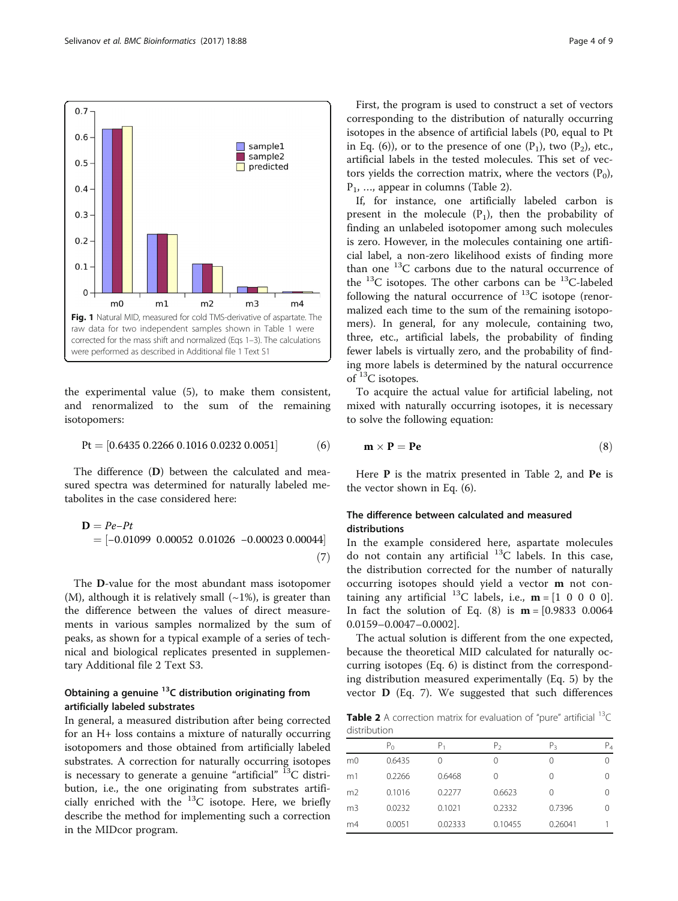<span id="page-3-0"></span>

the experimental value (5), to make them consistent, and renormalized to the sum of the remaining isotopomers:

$$
Pt = [0.6435 \ 0.2266 \ 0.1016 \ 0.0232 \ 0.0051] \tag{6}
$$

The difference (D) between the calculated and measured spectra was determined for naturally labeled metabolites in the case considered here:

$$
\mathbf{D} = Pe-Pt
$$
  
= [-0.01099 0.00052 0.01026 -0.00023 0.00044] (7)

The D-value for the most abundant mass isotopomer (M), although it is relatively small  $(-1\%)$ , is greater than the difference between the values of direct measurements in various samples normalized by the sum of peaks, as shown for a typical example of a series of technical and biological replicates presented in supplementary Additional file [2](#page-7-0) Text S3.

# Obtaining a genuine  $^{13}$ C distribution originating from artificially labeled substrates

In general, a measured distribution after being corrected for an H+ loss contains a mixture of naturally occurring isotopomers and those obtained from artificially labeled substrates. A correction for naturally occurring isotopes is necessary to generate a genuine "artificial"  $^{13}$ C distribution, i.e., the one originating from substrates artificially enriched with the  ${}^{13}C$  isotope. Here, we briefly describe the method for implementing such a correction in the MIDcor program.

First, the program is used to construct a set of vectors corresponding to the distribution of naturally occurring isotopes in the absence of artificial labels (P0, equal to Pt in Eq. (6)), or to the presence of one  $(P_1)$ , two  $(P_2)$ , etc., artificial labels in the tested molecules. This set of vectors yields the correction matrix, where the vectors  $(P_0)$ , P1, …, appear in columns (Table 2).

If, for instance, one artificially labeled carbon is present in the molecule  $(P_1)$ , then the probability of finding an unlabeled isotopomer among such molecules is zero. However, in the molecules containing one artificial label, a non-zero likelihood exists of finding more than one 13C carbons due to the natural occurrence of the <sup>13</sup>C isotopes. The other carbons can be <sup>13</sup>C-labeled following the natural occurrence of  $^{13}$ C isotope (renormalized each time to the sum of the remaining isotopomers). In general, for any molecule, containing two, three, etc., artificial labels, the probability of finding fewer labels is virtually zero, and the probability of finding more labels is determined by the natural occurrence of 13C isotopes.

To acquire the actual value for artificial labeling, not mixed with naturally occurring isotopes, it is necessary to solve the following equation:

$$
\mathbf{m} \times \mathbf{P} = \mathbf{P} \mathbf{e}
$$
 (8)

Here **P** is the matrix presented in Table 2, and **Pe** is the vector shown in Eq. (6).

# The difference between calculated and measured distributions

In the example considered here, aspartate molecules do not contain any artificial  $^{13}$ C labels. In this case, the distribution corrected for the number of naturally occurring isotopes should yield a vector m not containing any artificial <sup>13</sup>C labels, i.e.,  $\mathbf{m} = \begin{bmatrix} 1 & 0 & 0 & 0 & 0 \end{bmatrix}$ . In fact the solution of Eq.  $(8)$  is  $m = [0.9833 \ 0.0064]$ 0.0159–0.0047–0.0002].

The actual solution is different from the one expected, because the theoretical MID calculated for naturally occurring isotopes (Eq. 6) is distinct from the corresponding distribution measured experimentally (Eq. [5](#page-2-0)) by the vector D (Eq. 7). We suggested that such differences

**Table 2** A correction matrix for evaluation of "pure" artificial  $^{13}C$ distribution

|                | $P_{\Omega}$ | Ρ,      | P <sub>2</sub> | P3      | Ρ4 |
|----------------|--------------|---------|----------------|---------|----|
| m <sub>0</sub> | 0.6435       | 0       | 0              | 0       |    |
| m1             | 0.2266       | 0.6468  | 0              | 0       |    |
| m <sub>2</sub> | 0.1016       | 0.2277  | 0.6623         | 0       |    |
| m <sub>3</sub> | 0.0232       | 0.1021  | 0.2332         | 0.7396  |    |
| m4             | 0.0051       | 0.02333 | 0.10455        | 0.26041 |    |
|                |              |         |                |         |    |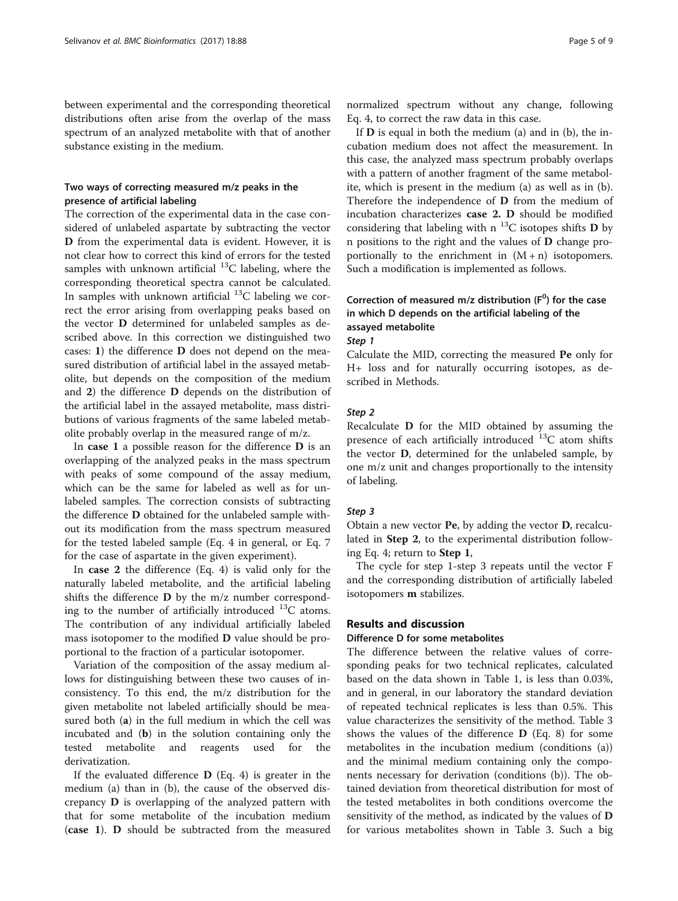between experimental and the corresponding theoretical distributions often arise from the overlap of the mass spectrum of an analyzed metabolite with that of another substance existing in the medium.

# Two ways of correcting measured m/z peaks in the presence of artificial labeling

The correction of the experimental data in the case considered of unlabeled aspartate by subtracting the vector D from the experimental data is evident. However, it is not clear how to correct this kind of errors for the tested samples with unknown artificial  $^{13}$ C labeling, where the corresponding theoretical spectra cannot be calculated. In samples with unknown artificial  $^{13}$ C labeling we correct the error arising from overlapping peaks based on the vector D determined for unlabeled samples as described above. In this correction we distinguished two cases: 1) the difference D does not depend on the measured distribution of artificial label in the assayed metabolite, but depends on the composition of the medium and 2) the difference D depends on the distribution of the artificial label in the assayed metabolite, mass distributions of various fragments of the same labeled metabolite probably overlap in the measured range of m/z.

In case 1 a possible reason for the difference D is an overlapping of the analyzed peaks in the mass spectrum with peaks of some compound of the assay medium, which can be the same for labeled as well as for unlabeled samples. The correction consists of subtracting the difference D obtained for the unlabeled sample without its modification from the mass spectrum measured for the tested labeled sample (Eq. [4](#page-2-0) in general, or Eq. [7](#page-3-0) for the case of aspartate in the given experiment).

In case 2 the difference (Eq. [4](#page-2-0)) is valid only for the naturally labeled metabolite, and the artificial labeling shifts the difference D by the m/z number corresponding to the number of artificially introduced  $^{13}$ C atoms. The contribution of any individual artificially labeled mass isotopomer to the modified D value should be proportional to the fraction of a particular isotopomer.

Variation of the composition of the assay medium allows for distinguishing between these two causes of inconsistency. To this end, the m/z distribution for the given metabolite not labeled artificially should be measured both (a) in the full medium in which the cell was incubated and (b) in the solution containing only the tested metabolite and reagents used for the derivatization.

If the evaluated difference  $D$  (Eq. [4](#page-2-0)) is greater in the medium (a) than in (b), the cause of the observed discrepancy D is overlapping of the analyzed pattern with that for some metabolite of the incubation medium (case 1). D should be subtracted from the measured normalized spectrum without any change, following Eq. [4](#page-2-0), to correct the raw data in this case.

If  $D$  is equal in both the medium (a) and in (b), the incubation medium does not affect the measurement. In this case, the analyzed mass spectrum probably overlaps with a pattern of another fragment of the same metabolite, which is present in the medium (a) as well as in (b). Therefore the independence of D from the medium of incubation characterizes case 2. D should be modified considering that labeling with n  $^{13}$ C isotopes shifts D by n positions to the right and the values of D change proportionally to the enrichment in  $(M + n)$  isotopomers. Such a modification is implemented as follows.

# Correction of measured m/z distribution  $(F^0)$  for the case in which D depends on the artificial labeling of the assayed metabolite

Step 1

Calculate the MID, correcting the measured Pe only for H+ loss and for naturally occurring isotopes, as described in Methods.

#### Step 2

Recalculate D for the MID obtained by assuming the presence of each artificially introduced  $^{13}$ C atom shifts the vector D, determined for the unlabeled sample, by one m/z unit and changes proportionally to the intensity of labeling.

#### Step 3

Obtain a new vector Pe, by adding the vector D, recalculated in Step 2, to the experimental distribution following Eq. [4](#page-2-0); return to Step 1,

The cycle for step 1-step 3 repeats until the vector F and the corresponding distribution of artificially labeled isotopomers m stabilizes.

#### Results and discussion

#### Difference D for some metabolites

The difference between the relative values of corresponding peaks for two technical replicates, calculated based on the data shown in Table [1](#page-2-0), is less than 0.03%, and in general, in our laboratory the standard deviation of repeated technical replicates is less than 0.5%. This value characterizes the sensitivity of the method. Table [3](#page-5-0) shows the values of the difference  $\bf{D}$  (Eq. [8](#page-3-0)) for some metabolites in the incubation medium (conditions (a)) and the minimal medium containing only the components necessary for derivation (conditions (b)). The obtained deviation from theoretical distribution for most of the tested metabolites in both conditions overcome the sensitivity of the method, as indicated by the values of D for various metabolites shown in Table [3](#page-5-0). Such a big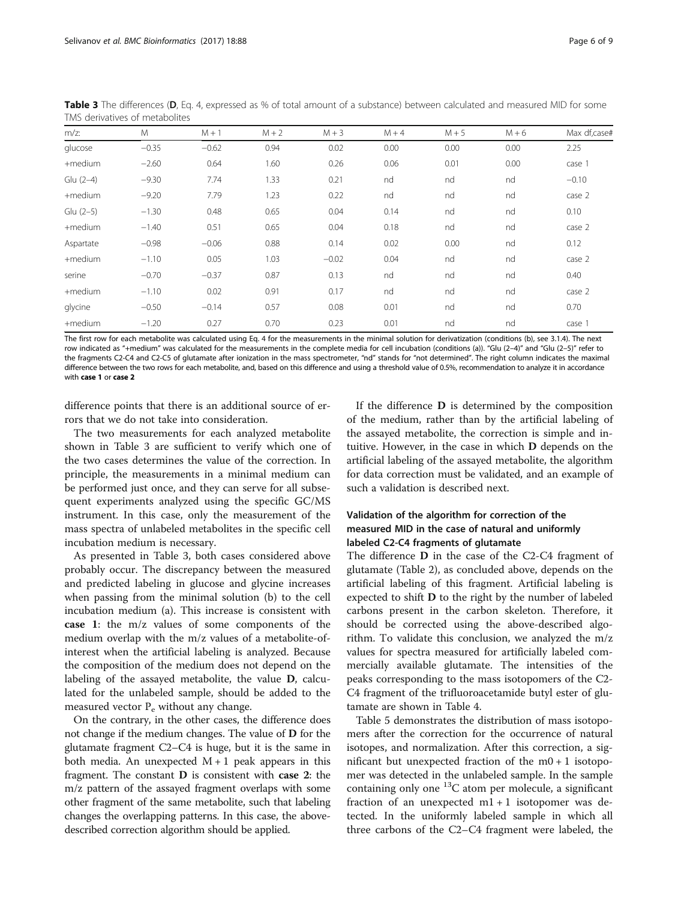| $m/z$ :   | M       | $M + 1$ | $M + 2$ | $M + 3$ | $M + 4$ | $M + 5$ | $M + 6$ | Max df,case# |
|-----------|---------|---------|---------|---------|---------|---------|---------|--------------|
| glucose   | $-0.35$ | $-0.62$ | 0.94    | 0.02    | 0.00    | 0.00    | 0.00    | 2.25         |
| +medium   | $-2.60$ | 0.64    | 1.60    | 0.26    | 0.06    | 0.01    | 0.00    | case 1       |
| Glu (2-4) | $-9.30$ | 7.74    | 1.33    | 0.21    | nd      | nd      | nd      | $-0.10$      |
| +medium   | $-9.20$ | 7.79    | 1.23    | 0.22    | nd      | nd      | nd      | case 2       |
| Glu (2-5) | $-1.30$ | 0.48    | 0.65    | 0.04    | 0.14    | nd      | nd      | 0.10         |
| +medium   | $-1.40$ | 0.51    | 0.65    | 0.04    | 0.18    | nd      | nd      | case 2       |
| Aspartate | $-0.98$ | $-0.06$ | 0.88    | 0.14    | 0.02    | 0.00    | nd      | 0.12         |
| +medium   | $-1.10$ | 0.05    | 1.03    | $-0.02$ | 0.04    | nd      | nd      | case 2       |
| serine    | $-0.70$ | $-0.37$ | 0.87    | 0.13    | nd      | nd      | nd      | 0.40         |
| +medium   | $-1.10$ | 0.02    | 0.91    | 0.17    | nd      | nd      | nd      | case 2       |
| glycine   | $-0.50$ | $-0.14$ | 0.57    | 0.08    | 0.01    | nd      | nd      | 0.70         |
| +medium   | $-1.20$ | 0.27    | 0.70    | 0.23    | 0.01    | nd      | nd      | case 1       |

<span id="page-5-0"></span>Table 3 The differences (D, Eq. [4,](#page-2-0) expressed as % of total amount of a substance) between calculated and measured MID for some TMS derivatives of metabolites

The first row for each metabolite was calculated using Eq. [4](#page-2-0) for the measurements in the minimal solution for derivatization (conditions (b), see 3.1.4). The next row indicated as "+medium" was calculated for the measurements in the complete media for cell incubation (conditions (a)). "Glu (2–4)" and "Glu (2–5)" refer to the fragments C2-C4 and C2-C5 of glutamate after ionization in the mass spectrometer, "nd" stands for "not determined". The right column indicates the maximal difference between the two rows for each metabolite, and, based on this difference and using a threshold value of 0.5%, recommendation to analyze it in accordance with case 1 or case 2

difference points that there is an additional source of errors that we do not take into consideration.

The two measurements for each analyzed metabolite shown in Table 3 are sufficient to verify which one of the two cases determines the value of the correction. In principle, the measurements in a minimal medium can be performed just once, and they can serve for all subsequent experiments analyzed using the specific GC/MS instrument. In this case, only the measurement of the mass spectra of unlabeled metabolites in the specific cell incubation medium is necessary.

As presented in Table 3, both cases considered above probably occur. The discrepancy between the measured and predicted labeling in glucose and glycine increases when passing from the minimal solution (b) to the cell incubation medium (a). This increase is consistent with case 1: the m/z values of some components of the medium overlap with the m/z values of a metabolite-ofinterest when the artificial labeling is analyzed. Because the composition of the medium does not depend on the labeling of the assayed metabolite, the value D, calculated for the unlabeled sample, should be added to the measured vector  $P_e$  without any change.

On the contrary, in the other cases, the difference does not change if the medium changes. The value of D for the glutamate fragment C2–C4 is huge, but it is the same in both media. An unexpected  $M + 1$  peak appears in this fragment. The constant D is consistent with case 2: the m/z pattern of the assayed fragment overlaps with some other fragment of the same metabolite, such that labeling changes the overlapping patterns. In this case, the abovedescribed correction algorithm should be applied.

If the difference D is determined by the composition of the medium, rather than by the artificial labeling of the assayed metabolite, the correction is simple and intuitive. However, in the case in which D depends on the artificial labeling of the assayed metabolite, the algorithm for data correction must be validated, and an example of such a validation is described next.

# Validation of the algorithm for correction of the measured MID in the case of natural and uniformly labeled C2-C4 fragments of glutamate

The difference D in the case of the C2-C4 fragment of glutamate (Table [2\)](#page-3-0), as concluded above, depends on the artificial labeling of this fragment. Artificial labeling is expected to shift D to the right by the number of labeled carbons present in the carbon skeleton. Therefore, it should be corrected using the above-described algorithm. To validate this conclusion, we analyzed the m/z values for spectra measured for artificially labeled commercially available glutamate. The intensities of the peaks corresponding to the mass isotopomers of the C2- C4 fragment of the trifluoroacetamide butyl ester of glutamate are shown in Table [4](#page-6-0).

Table [5](#page-6-0) demonstrates the distribution of mass isotopomers after the correction for the occurrence of natural isotopes, and normalization. After this correction, a significant but unexpected fraction of the  $m0 + 1$  isotopomer was detected in the unlabeled sample. In the sample containing only one  ${}^{13}C$  atom per molecule, a significant fraction of an unexpected  $m1 + 1$  isotopomer was detected. In the uniformly labeled sample in which all three carbons of the C2–C4 fragment were labeled, the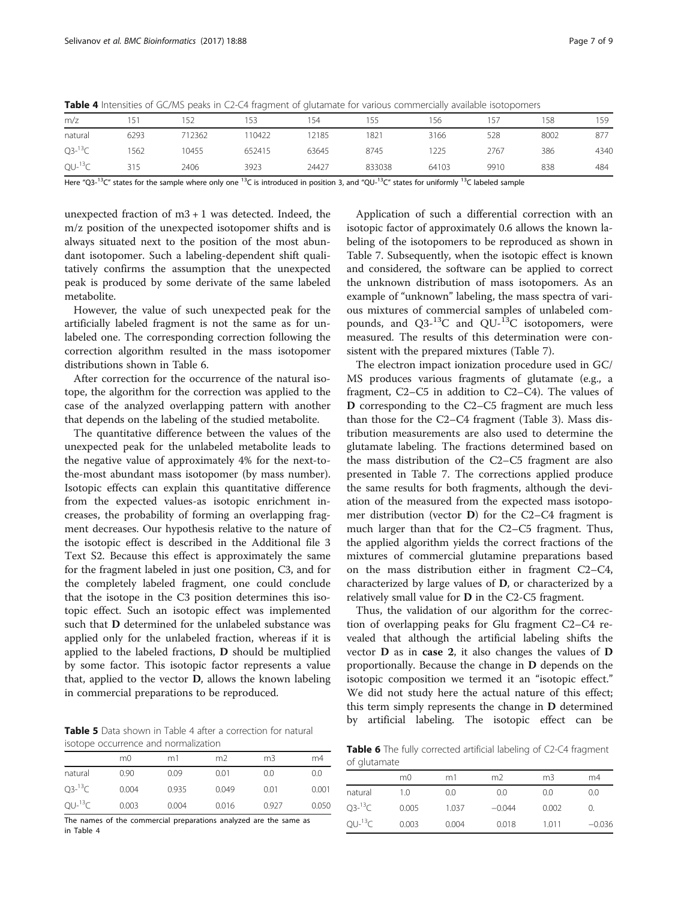<span id="page-6-0"></span>

|  | <b>Table 4</b> Intensities of GC/MS peaks in C2-C4 fragment of glutamate for various commercially available isotopomers |  |
|--|-------------------------------------------------------------------------------------------------------------------------|--|
|  |                                                                                                                         |  |

| m/z         | 151  | 152    | 153    | 154   | 155    | 156   | 157  | 158  | 159  |
|-------------|------|--------|--------|-------|--------|-------|------|------|------|
| natural     | 6293 | 712362 | 110422 | 12185 | 1821   | 3166  | 528  | 8002 | 877  |
| $Q3^{-13}C$ | 1562 | 10455  | 652415 | 63645 | 8745   | 1225  | 2767 | 386  | 4340 |
| $QU-13C$    | 315  | 2406   | 3923   | 24427 | 833038 | 64103 | 9910 | 838  | 484  |
|             |      |        |        |       |        |       |      |      |      |

Here "Q3-<sup>13</sup>C" states for the sample where only one <sup>13</sup>C is introduced in position 3, and "QU-<sup>13</sup>C" states for uniformly <sup>13</sup>C labeled sample

unexpected fraction of  $m3 + 1$  was detected. Indeed, the m/z position of the unexpected isotopomer shifts and is always situated next to the position of the most abundant isotopomer. Such a labeling-dependent shift qualitatively confirms the assumption that the unexpected peak is produced by some derivate of the same labeled metabolite.

However, the value of such unexpected peak for the artificially labeled fragment is not the same as for unlabeled one. The corresponding correction following the correction algorithm resulted in the mass isotopomer distributions shown in Table 6.

After correction for the occurrence of the natural isotope, the algorithm for the correction was applied to the case of the analyzed overlapping pattern with another that depends on the labeling of the studied metabolite.

The quantitative difference between the values of the unexpected peak for the unlabeled metabolite leads to the negative value of approximately 4% for the next-tothe-most abundant mass isotopomer (by mass number). Isotopic effects can explain this quantitative difference from the expected values-as isotopic enrichment increases, the probability of forming an overlapping fragment decreases. Our hypothesis relative to the nature of the isotopic effect is described in the Additional file [3](#page-7-0) Text S2. Because this effect is approximately the same for the fragment labeled in just one position, C3, and for the completely labeled fragment, one could conclude that the isotope in the C3 position determines this isotopic effect. Such an isotopic effect was implemented such that D determined for the unlabeled substance was applied only for the unlabeled fraction, whereas if it is applied to the labeled fractions, D should be multiplied by some factor. This isotopic factor represents a value that, applied to the vector D, allows the known labeling in commercial preparations to be reproduced.

Table 5 Data shown in Table 4 after a correction for natural isotope occurrence and normalization

|             | m0    | m1    | m <sub>2</sub> | m3    | m4    |
|-------------|-------|-------|----------------|-------|-------|
| natural     | 0.90  | 0.09  | 0.01           | 0.0   | 0.0   |
| $O3^{-13}C$ | 0.004 | 0.935 | 0.049          | 0.01  | 0.001 |
| $OU-13C$    | 0.003 | 0.004 | 0.016          | 0.927 | 0.050 |

The names of the commercial preparations analyzed are the same as in Table 4

Application of such a differential correction with an isotopic factor of approximately 0.6 allows the known labeling of the isotopomers to be reproduced as shown in Table [7.](#page-7-0) Subsequently, when the isotopic effect is known and considered, the software can be applied to correct the unknown distribution of mass isotopomers. As an example of "unknown" labeling, the mass spectra of various mixtures of commercial samples of unlabeled compounds, and  $Q3^{-13}C$  and  $QU^{-13}C$  isotopomers, were measured. The results of this determination were consistent with the prepared mixtures (Table [7\)](#page-7-0).

The electron impact ionization procedure used in GC/ MS produces various fragments of glutamate (e.g., a fragment, C2–C5 in addition to C2–C4). The values of D corresponding to the C2–C5 fragment are much less than those for the C2–C4 fragment (Table [3\)](#page-5-0). Mass distribution measurements are also used to determine the glutamate labeling. The fractions determined based on the mass distribution of the C2–C5 fragment are also presented in Table [7](#page-7-0). The corrections applied produce the same results for both fragments, although the deviation of the measured from the expected mass isotopomer distribution (vector D) for the C2–C4 fragment is much larger than that for the C2–C5 fragment. Thus, the applied algorithm yields the correct fractions of the mixtures of commercial glutamine preparations based on the mass distribution either in fragment C2–C4, characterized by large values of D, or characterized by a relatively small value for D in the C2-C5 fragment.

Thus, the validation of our algorithm for the correction of overlapping peaks for Glu fragment C2–C4 revealed that although the artificial labeling shifts the vector D as in case 2, it also changes the values of D proportionally. Because the change in D depends on the isotopic composition we termed it an "isotopic effect." We did not study here the actual nature of this effect; this term simply represents the change in D determined by artificial labeling. The isotopic effect can be

Table 6 The fully corrected artificial labeling of C2-C4 fragment of glutamate

|             | m0    | m1    | m <sub>2</sub> | m3    | m4       |
|-------------|-------|-------|----------------|-------|----------|
| natural     | 1.0   | 0.0   | 0.0            | 0.0   | 0.0      |
| $Q3^{-13}C$ | 0.005 | 1.037 | $-0.044$       | 0.002 |          |
| $QU-13C$    | 0.003 | 0.004 | 0.018          | 1.011 | $-0.036$ |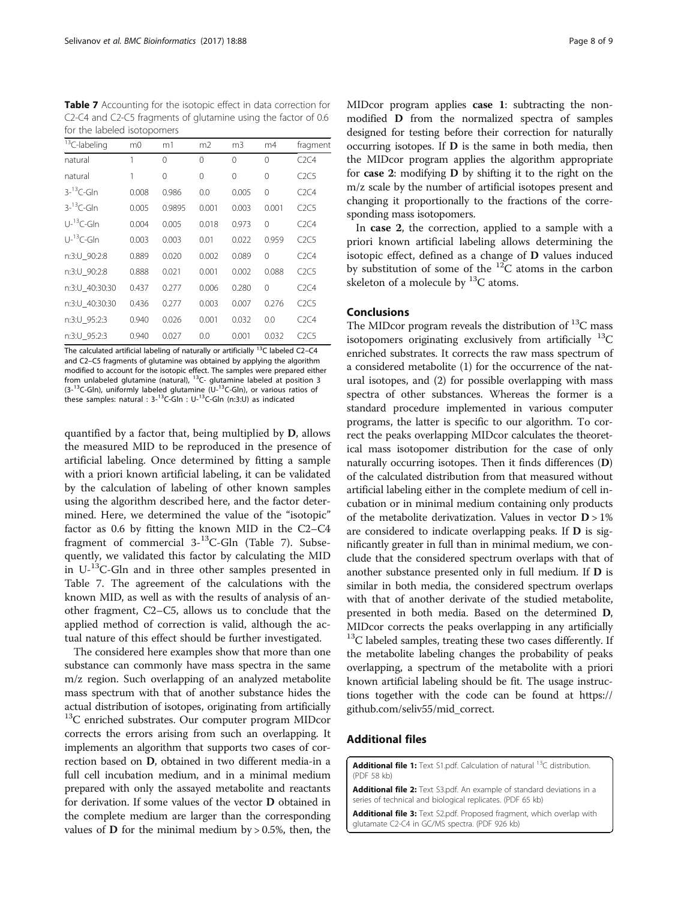<span id="page-7-0"></span>Table 7 Accounting for the isotopic effect in data correction for C2-C4 and C2-C5 fragments of glutamine using the factor of 0.6 for the labeled isotopomers

| <sup>13</sup> C-labeling | m <sub>0</sub> | m1       | m <sub>2</sub> | m <sub>3</sub> | m4       | fragment |
|--------------------------|----------------|----------|----------------|----------------|----------|----------|
| natural                  | 1              | $\Omega$ | $\Omega$       | $\Omega$       | $\Omega$ | C2C4     |
| natural                  | 1              | $\Omega$ | $\Omega$       | $\Omega$       | $\Omega$ | C2C5     |
| $3 - 13C$ -Gln           | 0.008          | 0.986    | 0.0            | 0.005          | $\Omega$ | C2C4     |
| $3-13$ C-Gln             | 0.005          | 0.9895   | 0.001          | 0.003          | 0.001    | C2C5     |
| $U^{-13}C$ -Gln          | 0.004          | 0.005    | 0.018          | 0.973          | $\Omega$ | C2C4     |
| $U^{-13}C$ -Gln          | 0.003          | 0.003    | 0.01           | 0.022          | 0.959    | C2C5     |
| n:3:U_90:2:8             | 0.889          | 0.020    | 0.002          | 0.089          | $\Omega$ | C2C4     |
| n:3:U 90:2:8             | 0.888          | 0.021    | 0.001          | 0.002          | 0.088    | C2C5     |
| n:3:U 40:30:30           | 0.437          | 0.277    | 0.006          | 0.280          | $\Omega$ | C2C4     |
| n:3:U 40:30:30           | 0.436          | 0.277    | 0.003          | 0.007          | 0.276    | C2C5     |
| n:3:U 95:2:3             | 0.940          | 0.026    | 0.001          | 0.032          | 0.0      | C2C4     |
| n:3:U 95:2:3             | 0.940          | 0.027    | 0.0            | 0.001          | 0.032    | C2C5     |

The calculated artificial labeling of naturally or artificially <sup>13</sup>C labeled C2-C4 and C2–C5 fragments of glutamine was obtained by applying the algorithm modified to account for the isotopic effect. The samples were prepared either from unlabeled glutamine (natural), 13C- glutamine labeled at position 3 (3-13C-Gln), uniformly labeled glutamine (U-13C-Gln), or various ratios of these samples: natural : 3-13C-Gln : U-13C-Gln (n:3:U) as indicated

quantified by a factor that, being multiplied by D, allows the measured MID to be reproduced in the presence of artificial labeling. Once determined by fitting a sample with a priori known artificial labeling, it can be validated by the calculation of labeling of other known samples using the algorithm described here, and the factor determined. Here, we determined the value of the "isotopic" factor as 0.6 by fitting the known MID in the C2–C4 fragment of commercial 3-13C-Gln (Table 7). Subsequently, we validated this factor by calculating the MID in U-13C-Gln and in three other samples presented in Table 7. The agreement of the calculations with the known MID, as well as with the results of analysis of another fragment, C2–C5, allows us to conclude that the applied method of correction is valid, although the actual nature of this effect should be further investigated.

The considered here examples show that more than one substance can commonly have mass spectra in the same m/z region. Such overlapping of an analyzed metabolite mass spectrum with that of another substance hides the actual distribution of isotopes, originating from artificially  $13C$  enriched substrates. Our computer program MIDcor corrects the errors arising from such an overlapping. It implements an algorithm that supports two cases of correction based on D, obtained in two different media-in a full cell incubation medium, and in a minimal medium prepared with only the assayed metabolite and reactants for derivation. If some values of the vector D obtained in the complete medium are larger than the corresponding values of **D** for the minimal medium by  $> 0.5\%$ , then, the MIDcor program applies case 1: subtracting the nonmodified D from the normalized spectra of samples designed for testing before their correction for naturally occurring isotopes. If D is the same in both media, then the MIDcor program applies the algorithm appropriate for case 2: modifying D by shifting it to the right on the m/z scale by the number of artificial isotopes present and changing it proportionally to the fractions of the corresponding mass isotopomers.

In case 2, the correction, applied to a sample with a priori known artificial labeling allows determining the isotopic effect, defined as a change of D values induced by substitution of some of the  ${}^{12}C$  atoms in the carbon skeleton of a molecule by  ${}^{13}C$  atoms.

#### Conclusions

The MIDcor program reveals the distribution of  ${}^{13}C$  mass isotopomers originating exclusively from artificially  $^{13}C$ enriched substrates. It corrects the raw mass spectrum of a considered metabolite (1) for the occurrence of the natural isotopes, and (2) for possible overlapping with mass spectra of other substances. Whereas the former is a standard procedure implemented in various computer programs, the latter is specific to our algorithm. To correct the peaks overlapping MIDcor calculates the theoretical mass isotopomer distribution for the case of only naturally occurring isotopes. Then it finds differences (D) of the calculated distribution from that measured without artificial labeling either in the complete medium of cell incubation or in minimal medium containing only products of the metabolite derivatization. Values in vector D > 1% are considered to indicate overlapping peaks. If D is significantly greater in full than in minimal medium, we conclude that the considered spectrum overlaps with that of another substance presented only in full medium. If D is similar in both media, the considered spectrum overlaps with that of another derivate of the studied metabolite, presented in both media. Based on the determined D, MIDcor corrects the peaks overlapping in any artificially  $13C$  labeled samples, treating these two cases differently. If the metabolite labeling changes the probability of peaks overlapping, a spectrum of the metabolite with a priori known artificial labeling should be fit. The usage instructions together with the code can be found at [https://](https://github.com/seliv55/mid_correct) [github.com/seliv55/mid\\_correct](https://github.com/seliv55/mid_correct).

#### Additional files

[Additional file 1:](dx.doi.org/10.1186/s12859-017-1513-3) Text S1.pdf. Calculation of natural <sup>13</sup>C distribution. (PDF 58 kb)

[Additional file 2:](dx.doi.org/10.1186/s12859-017-1513-3) Text S3.pdf. An example of standard deviations in a series of technical and biological replicates. (PDF 65 kb)

[Additional file 3:](dx.doi.org/10.1186/s12859-017-1513-3) Text S2.pdf. Proposed fragment, which overlap with glutamate C2-C4 in GC/MS spectra. (PDF 926 kb)